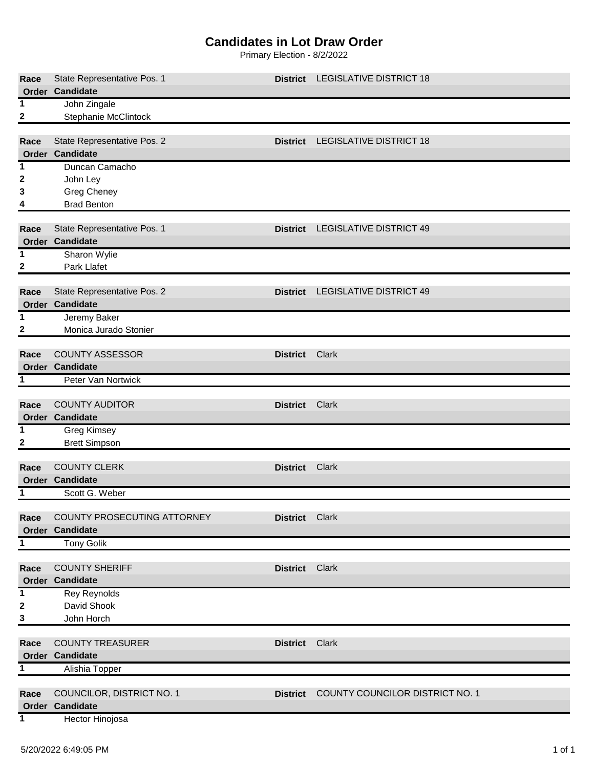## **Candidates in Lot Draw Order**

Primary Election - 8/2/2022

| Race  | State Representative Pos. 1 |                 | District LEGISLATIVE DISTRICT 18 |
|-------|-----------------------------|-----------------|----------------------------------|
|       | Order Candidate             |                 |                                  |
| 1     | John Zingale                |                 |                                  |
| 2     | <b>Stephanie McClintock</b> |                 |                                  |
|       |                             |                 |                                  |
| Race  | State Representative Pos. 2 | <b>District</b> | <b>LEGISLATIVE DISTRICT 18</b>   |
|       | Order Candidate             |                 |                                  |
| 1     | Duncan Camacho              |                 |                                  |
| 2     | John Ley                    |                 |                                  |
| 3     | <b>Greg Cheney</b>          |                 |                                  |
| 4     | <b>Brad Benton</b>          |                 |                                  |
|       |                             |                 |                                  |
| Race  | State Representative Pos. 1 | <b>District</b> | <b>LEGISLATIVE DISTRICT 49</b>   |
|       | Order Candidate             |                 |                                  |
| 1     | Sharon Wylie                |                 |                                  |
| 2     | Park Llafet                 |                 |                                  |
|       |                             |                 |                                  |
| Race  | State Representative Pos. 2 | <b>District</b> | <b>LEGISLATIVE DISTRICT 49</b>   |
| Order | Candidate                   |                 |                                  |
| 1     | Jeremy Baker                |                 |                                  |
| 2     | Monica Jurado Stonier       |                 |                                  |
| Race  | <b>COUNTY ASSESSOR</b>      | <b>District</b> | Clark                            |
|       | Order Candidate             |                 |                                  |
| 1     | Peter Van Nortwick          |                 |                                  |
|       |                             |                 |                                  |
| Race  | <b>COUNTY AUDITOR</b>       | <b>District</b> | Clark                            |
|       | Order Candidate             |                 |                                  |
| 1     | Greg Kimsey                 |                 |                                  |
| 2     | <b>Brett Simpson</b>        |                 |                                  |
|       |                             |                 |                                  |
| Race  | <b>COUNTY CLERK</b>         | <b>District</b> | Clark                            |
|       | Order Candidate             |                 |                                  |
| 1     | Scott G. Weber              |                 |                                  |
|       |                             |                 |                                  |
| Race  | COUNTY PROSECUTING ATTORNEY | District Clark  |                                  |
|       | Order Candidate             |                 |                                  |
| 1     | Tony Golik                  |                 |                                  |
|       |                             |                 |                                  |
| Race  | <b>COUNTY SHERIFF</b>       | <b>District</b> | Clark                            |
|       | Order Candidate             |                 |                                  |
| 1     | Rey Reynolds                |                 |                                  |
| 2     | David Shook                 |                 |                                  |
| 3     | John Horch                  |                 |                                  |
|       |                             |                 |                                  |
| Race  | <b>COUNTY TREASURER</b>     | <b>District</b> | Clark                            |
|       | Order Candidate             |                 |                                  |
| 1     | Alishia Topper              |                 |                                  |
|       |                             |                 |                                  |
| Race  | COUNCILOR, DISTRICT NO. 1   | <b>District</b> | COUNTY COUNCILOR DISTRICT NO. 1  |
|       | Order Candidate             |                 |                                  |
| 1     | Hector Hinojosa             |                 |                                  |